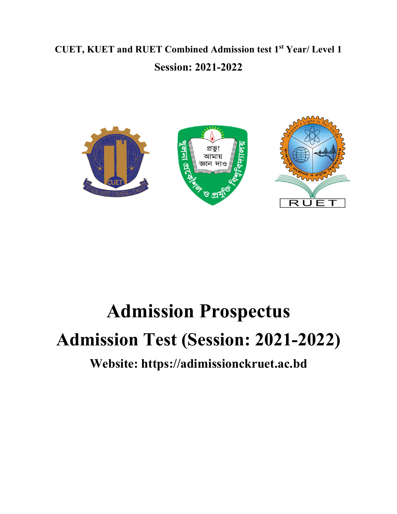# CUET, KUET and RUET Combined Admission test 1st Year/ Level 1 Session: 2021-2022



# Admission Prospectus Admission Test (Session: 2021-2022)

# Website: https://adimissionckruet.ac.bd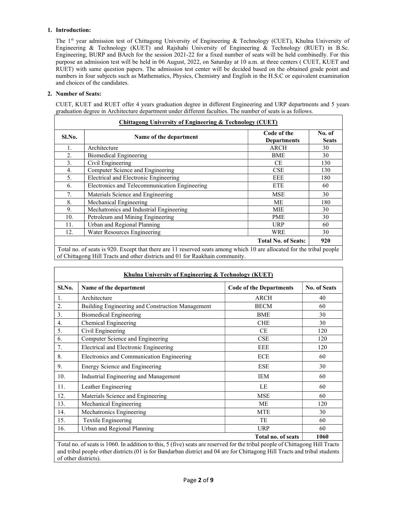# 1. Introduction:

The 1<sup>st</sup> year admission test of Chittagong University of Engineering & Technology (CUET), Khulna University of Engineering & Technology (KUET) and Rajshahi University of Engineering & Technology (RUET) in B.Sc. Engineering, BURP and BArch for the session 2021-22 for a fixed number of seats will be held combinedly. For this purpose an admission test will be held in 06 August, 2022, on Saturday at 10 a.m. at three centers ( CUET, KUET and RUET) with same question papers. The admission test center will be decided based on the obtained grade point and numbers in four subjects such as Mathematics, Physics, Chemistry and English in the H.S.C or equivalent examination and choices of the candidates.

# 2. Number of Seats:

CUET, KUET and RUET offer 4 years graduation degree in different Engineering and URP departments and 5 years graduation degree in Architecture department under different faculties. The number of seats is as follows.

| Chittagong University of Engineering & Technology (CUET) |                                                                                                                                                                                                                                                                                                                                                                               |                                                                     |                        |  |
|----------------------------------------------------------|-------------------------------------------------------------------------------------------------------------------------------------------------------------------------------------------------------------------------------------------------------------------------------------------------------------------------------------------------------------------------------|---------------------------------------------------------------------|------------------------|--|
| Sl.No.                                                   | Name of the department                                                                                                                                                                                                                                                                                                                                                        | Code of the<br><b>Departments</b>                                   | No. of<br><b>Seats</b> |  |
| 1.                                                       | Architecture                                                                                                                                                                                                                                                                                                                                                                  | ARCH                                                                | 30                     |  |
| 2.                                                       | <b>Biomedical Engineering</b>                                                                                                                                                                                                                                                                                                                                                 | <b>BME</b>                                                          | 30                     |  |
| 3.                                                       | Civil Engineering                                                                                                                                                                                                                                                                                                                                                             | CE                                                                  | 130                    |  |
| 4.                                                       | Computer Science and Engineering                                                                                                                                                                                                                                                                                                                                              | <b>CSE</b>                                                          | 130                    |  |
| 5.                                                       | Electrical and Electronic Engineering                                                                                                                                                                                                                                                                                                                                         | EEE                                                                 | 180                    |  |
| 6.                                                       | Electronics and Telecommunication Engineering                                                                                                                                                                                                                                                                                                                                 | <b>ETE</b>                                                          | 60                     |  |
| 7.                                                       | Materials Science and Engineering                                                                                                                                                                                                                                                                                                                                             | <b>MSE</b>                                                          | 30                     |  |
| 8.                                                       | Mechanical Engineering                                                                                                                                                                                                                                                                                                                                                        | МE                                                                  | 180                    |  |
| 9.                                                       | Mechatronics and Industrial Engineering                                                                                                                                                                                                                                                                                                                                       | MIE                                                                 | 30                     |  |
| 10.                                                      | Petroleum and Mining Engineering                                                                                                                                                                                                                                                                                                                                              | <b>PME</b>                                                          | 30                     |  |
| 11.                                                      | Urban and Regional Planning                                                                                                                                                                                                                                                                                                                                                   | <b>URP</b>                                                          | 60                     |  |
| 12.                                                      | Water Resources Engineering                                                                                                                                                                                                                                                                                                                                                   | <b>WRE</b>                                                          | 30                     |  |
| $-1$                                                     | $\alpha$ . $\alpha$ and $\alpha$ . $\alpha$ . $\alpha$ . $\alpha$ . $\alpha$ . $\alpha$ . $\alpha$ . $\alpha$ . $\alpha$ . $\alpha$ . $\alpha$ . $\alpha$ . $\alpha$ . $\alpha$ . $\alpha$ . $\alpha$ . $\alpha$ . $\alpha$ . $\alpha$ . $\alpha$ . $\alpha$ . $\alpha$ . $\alpha$ . $\alpha$ . $\alpha$ . $\alpha$ . $\alpha$ . $\alpha$ . $\alpha$ . $\$<br>1.1.1.0<br>$-1$ | <b>Total No. of Seats:</b><br>$\mathbf{H}$ . The state $\mathbf{H}$ | 920                    |  |

Total no. of seats is 920. Except that there are 11 reserved seats among which 10 are allocated for the tribal people of Chittagong Hill Tracts and other districts and 01 for Raakhain community.

| <u> Khulna University of Engineering &amp; Technology (KUET)</u>                                                           |                                                  |                                |                     |  |  |  |
|----------------------------------------------------------------------------------------------------------------------------|--------------------------------------------------|--------------------------------|---------------------|--|--|--|
| Sl.No.                                                                                                                     | Name of the department                           | <b>Code of the Departments</b> | <b>No. of Seats</b> |  |  |  |
| 1.                                                                                                                         | Architecture                                     | <b>ARCH</b>                    | 40                  |  |  |  |
| 2.                                                                                                                         | Building Engineering and Construction Management | <b>BECM</b>                    | 60                  |  |  |  |
| 3.                                                                                                                         | <b>Biomedical Engineering</b>                    | <b>BME</b>                     | 30                  |  |  |  |
| 4.                                                                                                                         | Chemical Engineering                             | <b>CHE</b>                     | 30                  |  |  |  |
| 5.                                                                                                                         | Civil Engineering                                | <b>CE</b>                      | 120                 |  |  |  |
| 6.                                                                                                                         | Computer Science and Engineering                 | CSE                            | 120                 |  |  |  |
| 7.                                                                                                                         | Electrical and Electronic Engineering            | EEE                            | 120                 |  |  |  |
| 8.                                                                                                                         | Electronics and Communication Engineering        | <b>ECE</b>                     | 60                  |  |  |  |
| 9.                                                                                                                         | Energy Science and Engineering                   | <b>ESE</b>                     | 30                  |  |  |  |
| 10.                                                                                                                        | Industrial Engineering and Management            | <b>IEM</b>                     | 60                  |  |  |  |
| 11.                                                                                                                        | Leather Engineering                              | LE                             | 60                  |  |  |  |
| 12.                                                                                                                        | Materials Science and Engineering                | <b>MSE</b>                     | 60                  |  |  |  |
| 13.                                                                                                                        | Mechanical Engineering                           | МE                             | 120                 |  |  |  |
| 14.                                                                                                                        | Mechatronics Engineering                         | <b>MTE</b>                     | 30                  |  |  |  |
| 15.                                                                                                                        | Textile Engineering                              | TE                             | 60                  |  |  |  |
| 16.                                                                                                                        | Urban and Regional Planning                      | <b>URP</b>                     | 60                  |  |  |  |
|                                                                                                                            | Total no. of seats<br>1060                       |                                |                     |  |  |  |
| Total no of seats is 1060. In addition to this 5 (five) seats are reserved for the tribal people of Chittagong Hill Tracts |                                                  |                                |                     |  |  |  |

lition to this, 5 (five) seats are reserved for the tribal people and tribal people other districts (01 is for Bandarban district and 04 are for Chittagong Hill Tracts and tribal students of other districts).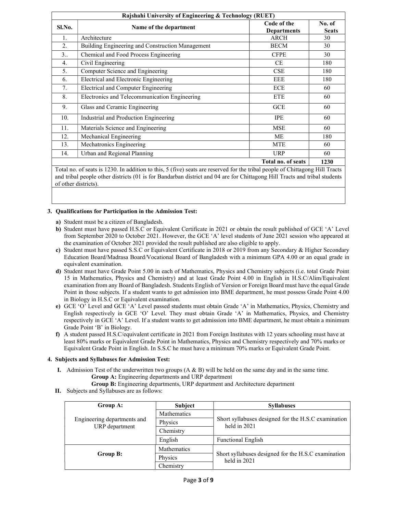| Rajshahi University of Engineering & Technology (RUET) |                                                  |                                   |                        |  |
|--------------------------------------------------------|--------------------------------------------------|-----------------------------------|------------------------|--|
| Sl.No.                                                 | Name of the department                           | Code of the<br><b>Departments</b> | No. of<br><b>Seats</b> |  |
| 1.                                                     | Architecture                                     | <b>ARCH</b>                       | 30                     |  |
| 2.                                                     | Building Engineering and Construction Management | <b>BECM</b>                       | 30                     |  |
| 3                                                      | Chemical and Food Process Engineering            | <b>CFPE</b>                       | 30                     |  |
| 4.                                                     | Civil Engineering                                | <b>CE</b>                         | 180                    |  |
| 5.                                                     | Computer Science and Engineering                 | CSE                               | 180                    |  |
| 6.                                                     | Electrical and Electronic Engineering            | EEE                               | 180                    |  |
| 7.                                                     | Electrical and Computer Engineering              | <b>ECE</b>                        | 60                     |  |
| 8.                                                     | Electronics and Telecommunication Engineering    | <b>ETE</b>                        | 60                     |  |
| 9.                                                     | Glass and Ceramic Engineering                    | GCE                               | 60                     |  |
| 10.                                                    | Industrial and Production Engineering            | <b>IPE</b>                        | 60                     |  |
| 11.                                                    | Materials Science and Engineering                | MSE                               | 60                     |  |
| 12.                                                    | Mechanical Engineering                           | <b>ME</b>                         | 180                    |  |
| 13.                                                    | Mechatronics Engineering                         | <b>MTE</b>                        | 60                     |  |
| 14.                                                    | Urban and Regional Planning                      | <b>URP</b>                        | 60                     |  |
|                                                        |                                                  | Total no. of seats                | 1230                   |  |

Total no. of seats is 1230. In addition to this, 5 (five) seats are reserved for the tribal people of Chittagong Hill Tracts and tribal people other districts (01 is for Bandarban district and 04 are for Chittagong Hill Tracts and tribal students of other districts).

# 3. Qualifications for Participation in the Admission Test:

- a) Student must be a citizen of Bangladesh.
- b) Student must have passed H.S.C or Equivalent Certificate in 2021 or obtain the result published of GCE 'A' Level from September 2020 to October 2021. However, the GCE 'A' level students of June 2021 session who appeared at the examination of October 2021 provided the result published are also eligible to apply.
- c) Student must have passed S.S.C or Equivalent Certificate in 2018 or 2019 from any Secondary & Higher Secondary Education Board/Madrasa Board/Vocational Board of Bangladesh with a minimum GPA 4.00 or an equal grade in equivalent examination.
- d) Student must have Grade Point 5.00 in each of Mathematics, Physics and Chemistry subjects (i.e. total Grade Point 15 in Mathematics, Physics and Chemistry) and at least Grade Point 4.00 in English in H.S.C/Alim/Equivalent examination from any Board of Bangladesh. Students English of Version or Foreign Board must have the equal Grade Point in those subjects. If a student wants to get admission into BME department, he must possess Grade Point 4.00 in Biology in H.S.C or Equivalent examination.
- e) GCE 'O' Level and GCE 'A' Level passed students must obtain Grade 'A' in Mathematics, Physics, Chemistry and English respectively in GCE 'O' Level. They must obtain Grade 'A' in Mathematics, Physics, and Chemistry respectively in GCE 'A' Level. If a student wants to get admission into BME department, he must obtain a minimum Grade Point 'B' in Biology.
- f) A student passed H.S.C/equivalent certificate in 2021 from Foreign Institutes with 12 years schooling must have at least 80% marks or Equivalent Grade Point in Mathematics, Physics and Chemistry respectively and 70% marks or Equivalent Grade Point in English. In S.S.C he must have a minimum 70% marks or Equivalent Grade Point.

# 4. Subjects and Syllabuses for Admission Test:

- I. Admission Test of the underwritten two groups (A & B) will be held on the same day and in the same time. Group A: Engineering departments and URP department
	- Group B: Engineering departments, URP department and Architecture department
- II. Subjects and Syllabuses are as follows:

| Group A:                                      | <b>Subject</b> | <b>Syllabuses</b>                                                   |
|-----------------------------------------------|----------------|---------------------------------------------------------------------|
|                                               | Mathematics    |                                                                     |
| Engineering departments and<br>URP department | Physics        | Short syllabuses designed for the H.S.C examination<br>held in 2021 |
|                                               | Chemistry      |                                                                     |
|                                               | English        | <b>Functional English</b>                                           |
|                                               | Mathematics    |                                                                     |
| Group B:                                      | Physics        | Short syllabuses designed for the H.S.C examination<br>held in 2021 |
|                                               | Chemistry      |                                                                     |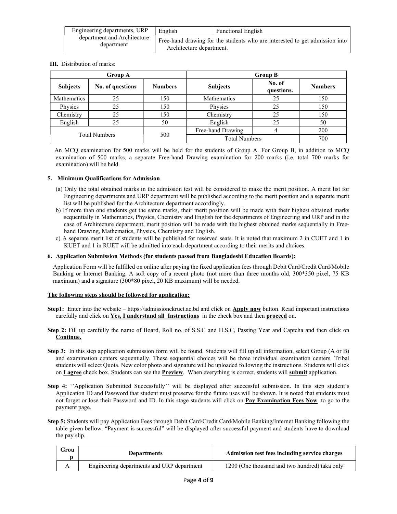| Engineering departments, URP              | English                  | <b>Functional English</b>                                                   |
|-------------------------------------------|--------------------------|-----------------------------------------------------------------------------|
| department and Architecture<br>department | Architecture department. | Free-hand drawing for the students who are interested to get admission into |

III. Distribution of marks:

| <b>Group A</b>       |                  |                | <b>Group B</b>       |                      |                |  |
|----------------------|------------------|----------------|----------------------|----------------------|----------------|--|
| <b>Subjects</b>      | No. of questions | <b>Numbers</b> | <b>Subjects</b>      | No. of<br>questions. | <b>Numbers</b> |  |
| Mathematics          | 25               | 150            | <b>Mathematics</b>   | 25                   | 150            |  |
| Physics              | 25               | 150            | Physics              | 25                   | 150            |  |
| Chemistry            | 25               | 150            | Chemistry            | 25                   | 150            |  |
| English              | 25               | 50             | English              | 25                   | 50             |  |
| <b>Total Numbers</b> |                  | 500            | Free-hand Drawing    | 4                    | 200            |  |
|                      |                  |                | <b>Total Numbers</b> |                      | 700            |  |

 An MCQ examination for 500 marks will be held for the students of Group A. For Group B, in addition to MCQ examination of 500 marks, a separate Free-hand Drawing examination for 200 marks (i.e. total 700 marks for examination) will be held.

# 5. Minimum Qualifications for Admission

- (a) Only the total obtained marks in the admission test will be considered to make the merit position. A merit list for Engineering departments and URP department will be published according to the merit position and a separate merit list will be published for the Architecture department accordingly.
- b) If more than one students get the same marks, their merit position will be made with their highest obtained marks sequentially in Mathematics, Physics, Chemistry and English for the departments of Engineering and URP and in the case of Architecture department, merit position will be made with the highest obtained marks sequentially in Freehand Drawing, Mathematics, Physics, Chemistry and English.
- c) A separate merit list of students will be published for reserved seats. It is noted that maximum 2 in CUET and 1 in KUET and 1 in RUET will be admitted into each department according to their merits and choices.

# 6. Application Submission Methods (for students passed from Bangladeshi Education Boards):

Application Form will be fulfilled on online after paying the fixed application fees through Debit Card/Credit Card/Mobile Banking or Internet Banking. A soft copy of a recent photo (not more than three months old, 300\*350 pixel, 75 KB maximum) and a signature (300\*80 pixel, 20 KB maximum) will be needed.

# The following steps should be followed for application:

- Step1: Enter into the website https://admissionckruet.ac.bd and click on Apply now button. Read important instructions carefully and click on Yes, I understand all Instructions in the check box and then proceed on.
- Step 2: Fill up carefully the name of Board, Roll no. of S.S.C and H.S.C, Passing Year and Captcha and then click on Continue.
- Step 3: In this step application submission form will be found. Students will fill up all information, select Group (A or B) and examination centers sequentially. These sequential choices will be three individual examination centers. Tribal students will select Quota. New color photo and signature will be uploaded following the instructions. Students will click on I agree check box. Students can see the Preview. When everything is correct, students will submit application.
- Step 4: "Application Submitted Successfully" will be displayed after successful submission. In this step student's Application ID and Password that student must preserve for the future uses will be shown. It is noted that students must not forget or lose their Password and ID. In this stage students will click on Pay Examination Fees Now to go to the payment page.
- Step 5: Students will pay Application Fees through Debit Card/Credit Card/Mobile Banking/Internet Banking following the table given bellow. "Payment is successful" will be displayed after successful payment and students have to download the pay slip.

| Grou | <b>Departments</b>                         | Admission test fees including service charges |  |  |
|------|--------------------------------------------|-----------------------------------------------|--|--|
| A    | Engineering departments and URP department | 1200 (One thousand and two hundred) taka only |  |  |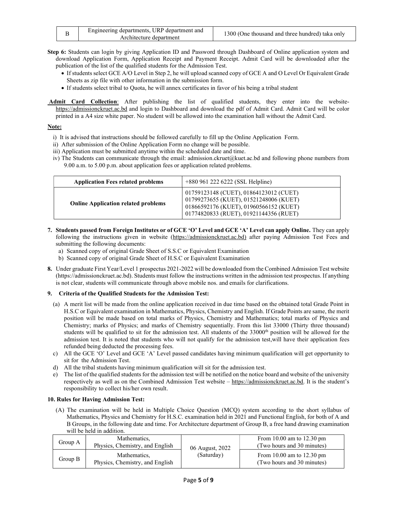| Engineering departments, URP department and<br>Architecture department | 1300 (One thousand and three hundred) taka only |
|------------------------------------------------------------------------|-------------------------------------------------|
|------------------------------------------------------------------------|-------------------------------------------------|

Step 6: Students can login by giving Application ID and Password through Dashboard of Online application system and download Application Form, Application Receipt and Payment Receipt. Admit Card will be downloaded after the publication of the list of the qualified students for the Admission Test.

- If students select GCE A/O Level in Step 2, he will upload scanned copy of GCE A and O Level Or Equivalent Grade Sheets as zip file with other information in the submission form.
- If students select tribal to Quota, he will annex certificates in favor of his being a tribal student
- Admit Card Collection: After publishing the list of qualified students, they enter into the websitehttps://admissionckruet.ac.bd and login to Dashboard and download the pdf of Admit Card. Admit Card will be color printed in a A4 size white paper. No student will be allowed into the examination hall without the Admit Card.

# Note:

- i) It is advised that instructions should be followed carefully to fill up the Online Application Form.
- ii) After submission of the Online Application Form no change will be possible.
- iii) Application must be submitted anytime within the scheduled date and time.
- iv) The Students can communicate through the email: admission.ckruet@kuet.ac.bd and following phone numbers from 9.00 a.m. to 5.00 p.m. about application fees or application related problems.

| <b>Application Fees related problems</b>   | $+880$ 961 222 6222 (SSL Helpline)                                                                                                                                   |
|--------------------------------------------|----------------------------------------------------------------------------------------------------------------------------------------------------------------------|
| <b>Online Application related problems</b> | 01759123148 (CUET), 01864123012 (CUET)<br>01799273655 (KUET), 01521248006 (KUET)<br>01866592176 (KUET), 01960566152 (KUET)<br>01774820833 (RUET), 01921144356 (RUET) |

- 7. Students passed from Foreign Institutes or of GCE 'O' Level and GCE 'A' Level can apply Online. They can apply following the instructions given in website (https://admissionckruet.ac.bd) after paying Admission Test Fees and submitting the following documents:
	- a) Scanned copy of original Grade Sheet of S.S.C or Equivalent Examination
	- b) Scanned copy of original Grade Sheet of H.S.C or Equivalent Examination
- 8. Under graduate First Year/Level 1 prospectus 2021-2022 will be downloaded from the Combined Admission Test website (https://admissionckruet.ac.bd). Students must follow the instructions written in the admission test prospectus. If anything is not clear, students will communicate through above mobile nos. and emails for clarifications.

# 9. Criteria of the Qualified Students for the Admission Test:

- (a) A merit list will be made from the online application received in due time based on the obtained total Grade Point in H.S.C or Equivalent examination in Mathematics, Physics, Chemistry and English. If Grade Points are same, the merit position will be made based on total marks of Physics, Chemistry and Mathematics; total marks of Physics and Chemistry; marks of Physics; and marks of Chemistry sequentially. From this list 33000 (Thirty three thousand) students will be qualified to sit for the admission test. All students of the  $33000<sup>th</sup>$  position will be allowed for the admission test. It is noted that students who will not qualify for the admission test,will have their application fees refunded being deducted the processing fees.
- c) All the GCE 'O' Level and GCE 'A' Level passed candidates having minimum qualification will get opportunity to sit for the Admission Test.
- d) All the tribal students having minimum qualification will sit for the admission test.
- e) The list of the qualified students for the admission test will be notified on the notice board and website of the university respectively as well as on the Combined Admission Test website – https://admissionckruet.ac.bd. It is the student's responsibility to collect his/her own result.

# 10. Rules for Having Admission Test:

(A) The examination will be held in Multiple Choice Question (MCQ) system according to the short syllabus of Mathematics, Physics and Chemistry for H.S.C. examination held in 2021 and Functional English, for both of A and B Groups, in the following date and time. For Architecture department of Group B, a free hand drawing examination will be held in addition.

| Group A | Mathematics.<br>Physics, Chemistry, and English | 06 August, 2022 | From $10.00$ am to $12.30$ pm<br>(Two hours and 30 minutes) |  |
|---------|-------------------------------------------------|-----------------|-------------------------------------------------------------|--|
| Group B | Mathematics.<br>Physics, Chemistry, and English | (Saturday)      | From $10.00$ am to $12.30$ pm<br>(Two hours and 30 minutes) |  |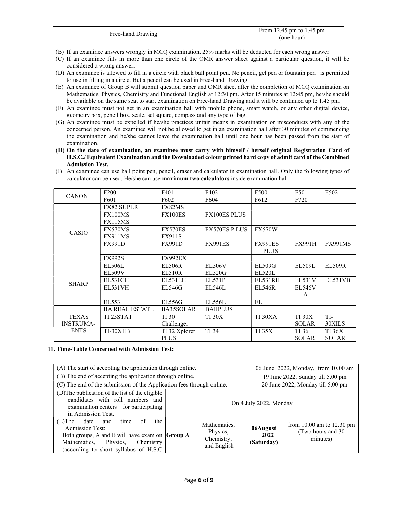| Free-hand | From 12.45 pm to 1.45 pm |
|-----------|--------------------------|
| Drawing   | (one hour)               |

- (B) If an examinee answers wrongly in MCQ examination, 25% marks will be deducted for each wrong answer.
- (C) If an examinee fills in more than one circle of the OMR answer sheet against a particular question, it will be considered a wrong answer.
- (D) An examinee is allowed to fill in a circle with black ball point pen. No pencil, gel pen or fountain pen is permitted to use in filling in a circle. But a pencil can be used in Free-hand Drawing.
- (E) An examinee of Group B will submit question paper and OMR sheet after the completion of MCQ examination on Mathematics, Physics, Chemistry and Functional English at 12:30 pm. After 15 minutes at 12:45 pm, he/she should be available on the same seat to start examination on Free-hand Drawing and it will be continued up to 1.45 pm.
- (F) An examinee must not get in an examination hall with mobile phone, smart watch, or any other digital device, geometry box, pencil box, scale, set square, compass and any type of bag.
- (G) An examinee must be expelled if he/she practices unfair means in examination or misconducts with any of the concerned person. An examinee will not be allowed to get in an examination hall after 30 minutes of commencing the examination and he/she cannot leave the examination hall until one hour has been passed from the start of examination.
- (H) On the date of examination, an examinee must carry with himself / herself original Registration Card of H.S.C./ Equivalent Examination and the Downloaded colour printed hard copy of admit card of the Combined Admission Test.
- (I) An examinee can use ball point pen, pencil, eraser and calculator in examination hall. Only the following types of calculator can be used. He/she can use maximum two calculators inside examination hall.

| <b>CANON</b>     | F <sub>200</sub>      | F401           | F402                 | F500              | F501          | F502           |
|------------------|-----------------------|----------------|----------------------|-------------------|---------------|----------------|
|                  | F601                  | F602           | F604                 | F <sub>6</sub> 12 | F720          |                |
|                  | <b>FX82 SUPER</b>     | FX82MS         |                      |                   |               |                |
|                  | FX100MS               | <b>FX100ES</b> | <b>FX100ES PLUS</b>  |                   |               |                |
|                  | <b>FX115MS</b>        |                |                      |                   |               |                |
| CASIO            | FX570MS               | <b>FX570ES</b> | <b>FX570ES P:LUS</b> | <b>FX570W</b>     |               |                |
|                  | <b>FX911MS</b>        | <b>FX911S</b>  |                      |                   |               |                |
|                  | <b>FX991D</b>         | <b>FX991D</b>  | <b>FX991ES</b>       | <b>FX991ES</b>    | <b>FX991H</b> | <b>FX991MS</b> |
|                  |                       |                |                      | <b>PLUS</b>       |               |                |
|                  | <b>FX992S</b>         | <b>FX992EX</b> |                      |                   |               |                |
|                  | <b>EL506L</b>         | <b>EL506R</b>  | <b>EL506V</b>        | <b>EL509G</b>     | <b>EL509L</b> | <b>EL509R</b>  |
|                  | <b>EL509V</b>         | <b>EL510R</b>  | <b>EL520G</b>        | <b>EL520L</b>     |               |                |
| <b>SHARP</b>     | EL531GH               | EL531LH        | EL531P               | EL531RH           | <b>EL531V</b> | <b>EL531VB</b> |
|                  | EL531VH               | EL546G         | EL546L               | <b>EL546R</b>     | <b>EL546V</b> |                |
|                  |                       |                |                      |                   | A             |                |
|                  | EL553                 | EL556G         | <b>EL556L</b>        | EL                |               |                |
|                  | <b>BA REAL ESTATE</b> | BA35SOLAR      | <b>BAIIPLUS</b>      |                   |               |                |
| <b>TEXAS</b>     | TI 25STAT             | TI 30          | <b>TI 30X</b>        | TI 30XA           | <b>TI 30X</b> | TI-            |
| <b>INSTRUMA-</b> |                       | Challenger     |                      |                   | <b>SOLAR</b>  | 30XILS         |
| <b>ENTS</b>      | TI-30XIIB             | TI 32 Xplorer  | <b>TI</b> 34         | <b>TI 35X</b>     | TI 36         | <b>TI 36X</b>  |
|                  |                       | <b>PLUS</b>    |                      |                   | <b>SOLAR</b>  | <b>SOLAR</b>   |

# 11. Time-Table Concerned with Admission Test:

| (A) The start of accepting the application through online.                                                                                                                                                  |                        |                                                       |                                | 06 June 2022, Monday, from 10.00 am                             |  |
|-------------------------------------------------------------------------------------------------------------------------------------------------------------------------------------------------------------|------------------------|-------------------------------------------------------|--------------------------------|-----------------------------------------------------------------|--|
| (B) The end of accepting the application through online.                                                                                                                                                    |                        |                                                       |                                | 19 June 2022, Sunday till 5.00 pm                               |  |
| (C) The end of the submission of the Application fees through online.                                                                                                                                       |                        |                                                       |                                | 20 June 2022, Monday till 5.00 pm                               |  |
| (D) The publication of the list of the eligible<br>candidates with roll numbers and<br>examination centers for participating<br>in Admission Test.                                                          | On 4 July 2022, Monday |                                                       |                                |                                                                 |  |
| $(E)$ The<br>of<br>date<br>the<br>and<br>time<br><b>Admission Test:</b><br>Both groups, A and B will have exam on Group A<br>Mathematics,<br>Chemistry<br>Physics,<br>(according to short syllabus of H.S.C |                        | Mathematics,<br>Physics,<br>Chemistry,<br>and English | 06August<br>2022<br>(Saturday) | from $10.00$ am to $12.30$ pm<br>(Two hours and 30)<br>minutes) |  |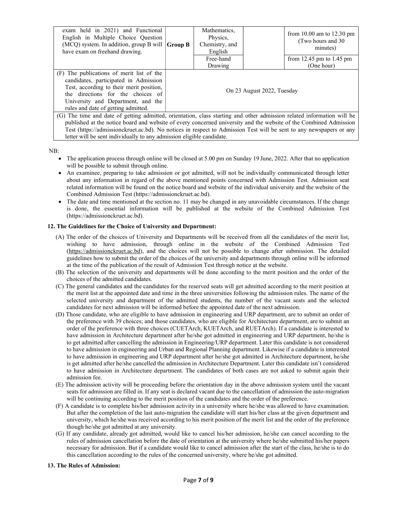| exam held in 2021) and Functional<br>English in Multiple Choice Question<br>(MCQ) system. In addition, group B will $ $ Group B<br>have exam on freehand drawing.                                                                                |                            | Mathematics,<br>Physics.<br>Chemistry, and<br>English |  | from $10.00$ am to $12.30$ pm<br>(Two hours and 30)<br>minutes) |
|--------------------------------------------------------------------------------------------------------------------------------------------------------------------------------------------------------------------------------------------------|----------------------------|-------------------------------------------------------|--|-----------------------------------------------------------------|
|                                                                                                                                                                                                                                                  |                            | Free-hand                                             |  | from 12.45 pm to 1.45 pm                                        |
|                                                                                                                                                                                                                                                  |                            | Drawing                                               |  | (One hour)                                                      |
| (F) The publications of merit list of the<br>candidates, participated in Admission<br>Test, according to their merit position,<br>the directions for the choices of<br>University and Department, and the<br>rules and date of getting admitted. | On 23 August 2022, Tuesday |                                                       |  |                                                                 |
| (G) The time and date of getting admitted, orientation, class starting and other admission related information will be                                                                                                                           |                            |                                                       |  |                                                                 |
| published at the notice board and website of every concerned university and the website of the Combined Admission                                                                                                                                |                            |                                                       |  |                                                                 |
| Test (https://admissionckruet.ac.bd). No notices in respect to Admission Test will be sent to any newspapers or any                                                                                                                              |                            |                                                       |  |                                                                 |

NB:

- The application process through online will be closed at 5.00 pm on Sunday 19 June, 2022. After that no application will be possible to submit through online.
- An examinee, preparing to take admission or got admitted, will not be individually communicated through letter about any information in regard of the above mentioned points concerned with Admission Test. Admission seat related information will be found on the notice board and website of the individual university and the website of the Combined Admission Test (https://admissionckruet.ac.bd).
- The date and time mentioned at the section no. 11 may be changed in any unavoidable circumstances. If the change is done, the essential information will be published at the website of the Combined Admission Test (https://admissionckruet.ac.bd).

# 12. The Guidelines for the Choice of University and Department:

letter will be sent individually to any admission eligible candidate.

- (A) The order of the choices of University and Departments will be received from all the candidates of the merit list, wishing to have admission, through online in the website of the Combined Admission Test (https://admissionckruet.ac.bd), and the choices will not be possible to change after submission. The detailed guidelines how to submit the order of the choices of the university and departments through online will be informed at the time of the publication of the result of Admission Test through notice at the website.
- (B) The selection of the university and departments will be done according to the merit position and the order of the choices of the admitted candidates.
- (C) The general candidates and the candidates for the reserved seats will get admitted according to the merit position at the merit list at the appointed date and time in the three universities following the admission rules. The name of the selected university and department of the admitted students, the number of the vacant seats and the selected candidates for next admission will be informed before the appointed date of the next admission.
- (D) Those candidate, who are eligible to have admission in engineering and URP department, are to submit an order of the preference with 39 choices; and those candidates, who are eligible for Architecture department, are to submit an order of the preference with three choices (CUETArch, KUETArch, and RUETArch). If a candidate is interested to have admission in Architecture department after he/she got admitted in engineering and URP department, he/she is to get admitted after cancelling the admission in Engineering/URP department. Later this candidate is not considered to have admission in engineering and Urban and Regional Planning department. Likewise if a candidate is interested to have admission in engineering and URP department after he/she got admitted in Architecture department, he/she is get admitted after he/she cancelled the admission in Architecture Department. Later this candidate isn't considered to have admission in Architecture department. The candidates of both cases are not asked to submit again their admission fee.
- (E) The admission activity will be proceeding before the orientation day in the above admission system until the vacant seats for admission are filled in. If any seat is declared vacant due to the cancellation of admission the auto-migration will be continuing according to the merit position of the candidates and the order of the preference.
- (F) A candidate is to complete his/her admission activity in a university where he/she was allowed to have examination. But after the completion of the last auto-migration the candidate will start his/her class at the given department and university, which he/she was received according to his merit position of the merit list and the order of the preference though he/she got admitted at any university.
- (G) If any candidate, already got admitted, would like to cancel his/her admission, he/she can cancel according to the rules of admission cancellation before the date of orientation at the university where he/she submitted his/her papers necessary for admission. But if a candidate would like to cancel admission after the start of the class, he/she is to do this cancellation according to the rules of the concerned university, where he/she got admitted.

# 13. The Rules of Admission: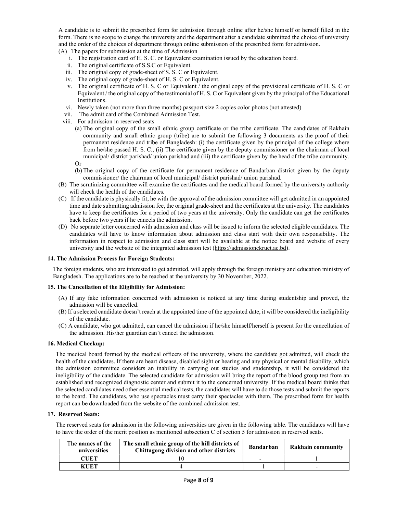A candidate is to submit the prescribed form for admission through online after he/she himself or herself filled in the form. There is no scope to change the university and the department after a candidate submitted the choice of university and the order of the choices of department through online submission of the prescribed form for admission.

(A) The papers for submission at the time of Admission

- i. The registration card of H. S. C. or Equivalent examination issued by the education board.
- ii. The original certificate of S.S.C or Equivalent.
- iii. The original copy of grade-sheet of S. S. C or Equivalent.
- iv. The original copy of grade-sheet of H. S. C or Equivalent.
- v. The original certificate of H. S. C or Equivalent / the original copy of the provisional certificate of H. S. C or Equivalent / the original copy of the testimonial of H. S. C or Equivalent given by the principal of the Educational Institutions.
- vi. Newly taken (not more than three months) passport size 2 copies color photos (not attested)
- vii. The admit card of the Combined Admission Test.
- viii. For admission in reserved seats
	- (a) The original copy of the small ethnic group certificate or the tribe certificate. The candidates of Rakhain community and small ethnic group (tribe) are to submit the following 3 documents as the proof of their permanent residence and tribe of Bangladesh: (i) the certificate given by the principal of the college where from he/she passed H. S. C., (ii) The certificate given by the deputy commissioner or the chairman of local municipal/ district parishad/ union parishad and (iii) the certificate given by the head of the tribe community. Or
	- (b) The original copy of the certificate for permanent residence of Bandarban district given by the deputy commissioner/ the chairman of local municipal/ district parishad/ union parishad.
- (B) The scrutinizing committee will examine the certificates and the medical board formed by the university authority will check the health of the candidates.
- (C) If the candidate is physically fit, he with the approval of the admission committee will get admitted in an appointed time and date submitting admission fee, the original grade-sheet and the certificates at the university. The candidates have to keep the certificates for a period of two years at the university. Only the candidate can get the certificates back before two years if he cancels the admission.
- (D) No separate letter concerned with admission and class will be issued to inform the selected eligible candidates. The candidates will have to know information about admission and class start with their own responsibility. The information in respect to admission and class start will be available at the notice board and website of every university and the website of the integrated admission test (https://admissionckruet.ac.bd).

#### 14. The Admission Process for Foreign Students:

The foreign students, who are interested to get admitted, will apply through the foreign ministry and education ministry of Bangladesh. The applications are to be reached at the university by 30 November, 2022.

# 15. The Cancellation of the Eligibility for Admission:

- (A) If any fake information concerned with admission is noticed at any time during studentship and proved, the admission will be cancelled.
- (B) If a selected candidate doesn't reach at the appointed time of the appointed date, it will be considered the ineligibility of the candidate.
- (C) A candidate, who got admitted, can cancel the admission if he/she himself/herself is present for the cancellation of the admission. His/her guardian can't cancel the admission.

#### 16. Medical Checkup:

The medical board formed by the medical officers of the university, where the candidate got admitted, will check the health of the candidates. If there are heart disease, disabled sight or hearing and any physical or mental disability, which the admission committee considers an inability in carrying out studies and studentship, it will be considered the ineligibility of the candidate. The selected candidate for admission will bring the report of the blood group test from an established and recognized diagnostic center and submit it to the concerned university. If the medical board thinks that the selected candidates need other essential medical tests, the candidates will have to do those tests and submit the reports to the board. The candidates, who use spectacles must carry their spectacles with them. The prescribed form for health report can be downloaded from the website of the combined admission test.

#### 17. Reserved Seats:

The reserved seats for admission in the following universities are given in the following table. The candidates will have to have the order of the merit position as mentioned subsection C of section 5 for admission in reserved seats.

| The names of the<br>universities | The small ethnic group of the hill districts of<br>Chittagong division and other districts | Bandarban | Rakhain community |
|----------------------------------|--------------------------------------------------------------------------------------------|-----------|-------------------|
| CUET                             |                                                                                            |           |                   |
| KUET                             |                                                                                            |           | -                 |